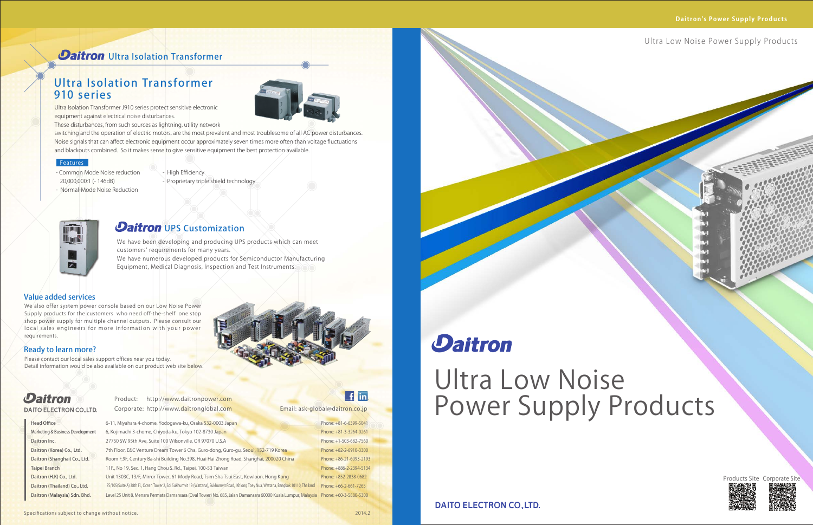Ultra Isolation Transformer J910 series protect sensitive electronic equipment against electrical noise disturbances.

These disturbances, from such sources as lightning, utility network

We have been developing and producing UPS products which can meet customers' requirements for many years. We have numerous developed products for Semiconductor Manufacturing Equipment, Medical Diagnosis, Inspection and Test Instruments.

switching and the operation of electric motors, are the most prevalent and most troublesome of all AC power disturbances. Noise signals that can affect electronic equipment occur approximately seven times more often than voltage fluctuations and blackouts combined. So it makes sense to give sensitive equipment the best protection available.

- Common Mode Noise reduction 20,000,000:1 (- 146dB)
- Normal-Mode Noise Reduction
- High Efficiency
- Proprietary triple shield technology



### **Daitron** UPS Customization

Please contact our local sales support offices near you today. Detail information would be also available on our product web site below.



### **Daitron DAITO ELECTRON CO., LTD.**

**Head Office** Marketing & Business Development Daitron Inc. Daitron (Korea) Co., Ltd. Daitron (Shanghai) Co., Ltd. Taipei Branch Daitron (H.K) Co., Ltd. Daitron (Thailand) Co., Ltd. Daitron (Malaysia) Sdn. Bhd.

6-11, Miyahara 4-chome, Yodogawa-ku, Osaka 532-0003 Japan 6, Kojimachi 3-chome, Chiyoda-ku, Tokyo 102-8730 Japan 27750 SW 95th Ave, Suite 100 Wilsonville, OR 97070 U.S.A 7th Floor, E&C Venture Dream Tower 6 Cha, Guro-dong, Guro-gu, Seoul, 152-719 Korea Room F,9F, Century Ba-shi Building No.398, Huai Hai Zhong Road, Shanghai, 200020 China 11F., No 19, Sec. 1, Hang Chou S. Rd., Taipei, 100-53 Taiwan Unit 1303C, 13/F, Mirror Tower, 61 Mody Road, Tsim Sha Tsui East, Kowloon, Hong Kong Level 25 Unit 8, Menara Permata Damansara (Oval Tower) No. 685, Jalan Damansara 60000 Kuala Lumpur, M<mark>ala</mark>ysia Phone: +60-3-5880-5300 75/105(Suite:A) 38th Fl., Ocean Tower 2, Soi Sukhumvit 19 (Wattana), Sukhumvit Road, Khlong Toey Nua, Wattana, Bangkok 10110, Thailand Phone: +66-2-661-7265

Product: http://www.daitronpower.com Corporate: http://www.d<mark>aitro</mark>nglobal.com

### f in

### **Daitron** Ultra Isolation Transformer

## Ultra Isolation Transformer 910 series



### Features

Email: ask-global@daitron.co.jp

### Value added services

We also offer system power console based on our Low Noise Power Supply products for the customers who need off-the-shelf one stop shop power supply for multiple channel outputs. Please consult our local sales engineers for more information with your power requirements.

### Ready to learn more?

Ultra Low Noise Power Supply Products

Phone: +81-6-6399-5041 Phone: +81-3-3264-0261 Phone: +1-503-682-7560 Phone: +82-2-6910-3300 Phone: +86-21-6093-2193 Phone: +886-2-2394-5134 Phone: +852-2838-0682

# **Daitron**

### Ultra Low Noise Power Supply Products